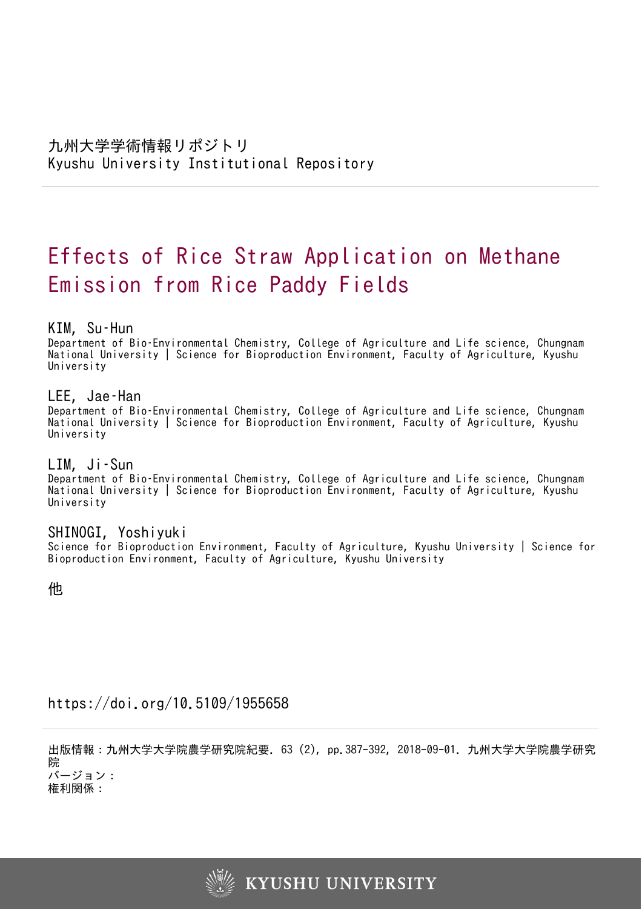# Effects of Rice Straw Application on Methane Emission from Rice Paddy Fields

# KIM, Su–Hun

Department of Bio–Environmental Chemistry, College of Agriculture and Life science, Chungnam National University | Science for Bioproduction Environment, Faculty of Agriculture, Kyushu University

# LEE, Jae–Han

Department of Bio–Environmental Chemistry, College of Agriculture and Life science, Chungnam National University | Science for Bioproduction Environment, Faculty of Agriculture, Kyushu University

# LIM, Ji–Sun

Department of Bio–Environmental Chemistry, College of Agriculture and Life science, Chungnam National University | Science for Bioproduction Environment, Faculty of Agriculture, Kyushu University

# SHINOGI, Yoshiyuki

Science for Bioproduction Environment, Faculty of Agriculture, Kyushu University | Science for Bioproduction Environment, Faculty of Agriculture, Kyushu University

他

# https://doi.org/10.5109/1955658

出版情報:九州大学大学院農学研究院紀要. 63 (2), pp.387-392, 2018-09-01. 九州大学大学院農学研究 院 バージョン:

権利関係:

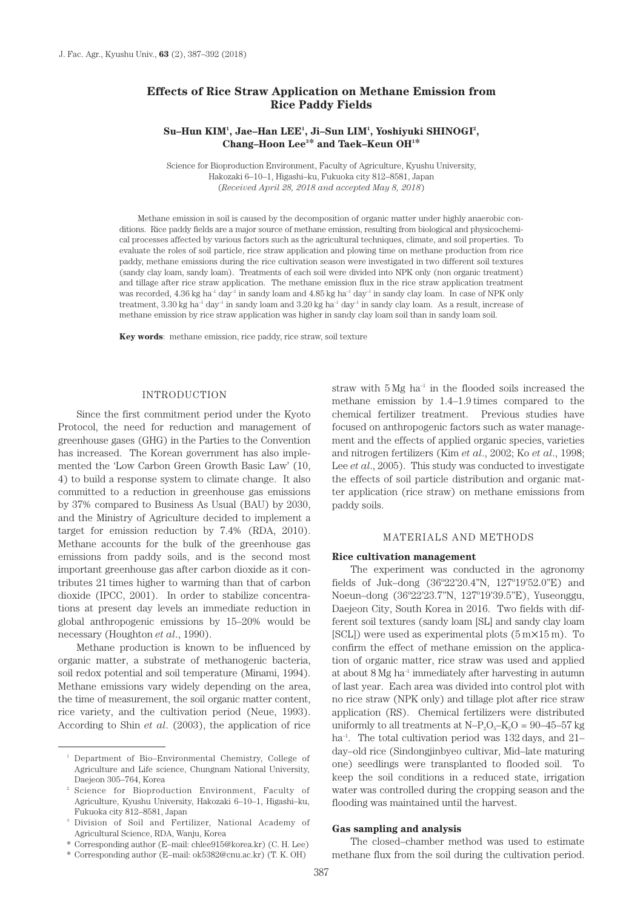# **Effects of Rice Straw Application on Methane Emission from Rice Paddy Fields**

## Su–Hun KIM<sup>1</sup>, Jae–Han LEE<sup>1</sup>, Ji–Sun LIM<sup>1</sup>, Yoshiyuki SHINOGI<sup>2</sup>, **Chang–Hoon Lee3 \* and Taek–Keun OH1 \***

Science for Bioproduction Environment, Faculty of Agriculture, Kyushu University, Hakozaki 6–10–1, Higashi–ku, Fukuoka city 812–8581, Japan (*Received April 28, 2018 and accepted May 8, 2018*)

Methane emission in soil is caused by the decomposition of organic matter under highly anaerobic conditions. Rice paddy fields are a major source of methane emission, resulting from biological and physicochemical processes affected by various factors such as the agricultural techniques, climate, and soil properties. To evaluate the roles of soil particle, rice straw application and plowing time on methane production from rice paddy, methane emissions during the rice cultivation season were investigated in two different soil textures (sandy clay loam, sandy loam). Treatments of each soil were divided into NPK only (non organic treatment) and tillage after rice straw application. The methane emission flux in the rice straw application treatment was recorded, 4.36 kg ha<sup>-1</sup> day<sup>-1</sup> in sandy loam and 4.85 kg ha<sup>-1</sup> day<sup>-1</sup> in sandy clay loam. In case of NPK only treatment,  $3.30 \text{ kg}$  ha<sup>-1</sup> day<sup>-1</sup> in sandy loam and  $3.20 \text{ kg}$  ha<sup>-1</sup> day<sup>-1</sup> in sandy clay loam. As a result, increase of methane emission by rice straw application was higher in sandy clay loam soil than in sandy loam soil.

**Key words**: methane emission, rice paddy, rice straw, soil texture

## INTRODUCTION

Since the first commitment period under the Kyoto Protocol, the need for reduction and management of greenhouse gases (GHG) in the Parties to the Convention has increased. The Korean government has also implemented the 'Low Carbon Green Growth Basic Law' (10, 4) to build a response system to climate change. It also committed to a reduction in greenhouse gas emissions by 37% compared to Business As Usual (BAU) by 2030, and the Ministry of Agriculture decided to implement a target for emission reduction by 7.4% (RDA, 2010). Methane accounts for the bulk of the greenhouse gas emissions from paddy soils, and is the second most important greenhouse gas after carbon dioxide as it contributes 21 times higher to warming than that of carbon dioxide (IPCC, 2001). In order to stabilize concentrations at present day levels an immediate reduction in global anthropogenic emissions by 15–20% would be necessary (Houghton *et al*., 1990).

Methane production is known to be influenced by organic matter, a substrate of methanogenic bacteria, soil redox potential and soil temperature (Minami, 1994). Methane emissions vary widely depending on the area, the time of measurement, the soil organic matter content, rice variety, and the cultivation period (Neue, 1993). According to Shin *et al*. (2003), the application of rice straw with  $5 \text{ Mg}$  ha<sup>-1</sup> in the flooded soils increased the methane emission by 1.4–1.9 times compared to the chemical fertilizer treatment. Previous studies have focused on anthropogenic factors such as water management and the effects of applied organic species, varieties and nitrogen fertilizers (Kim *et al*., 2002; Ko *et al*., 1998; Lee *et al*., 2005). This study was conducted to investigate the effects of soil particle distribution and organic matter application (rice straw) on methane emissions from paddy soils.

## MATERIALS AND METHODS

#### **Rice cultivation management**

The experiment was conducted in the agronomy fields of Juk–dong (36º22'20.4''N, 127º19'52.0''E) and Noeun–dong (36º22'23.7''N, 127º19'39.5''E), Yuseonggu, Daejeon City, South Korea in 2016. Two fields with different soil textures (sandy loam [SL] and sandy clay loam [SCL]) were used as experimental plots (5 m×15 m). To confirm the effect of methane emission on the application of organic matter, rice straw was used and applied at about 8 Mg ha–1 immediately after harvesting in autumn of last year. Each area was divided into control plot with no rice straw (NPK only) and tillage plot after rice straw application (RS). Chemical fertilizers were distributed uniformly to all treatments at  $N-P_2O_5-K_2O = 90-45-57$  kg ha<sup>-1</sup>. The total cultivation period was  $132$  days, and  $21$ day–old rice (Sindongjinbyeo cultivar, Mid–late maturing one) seedlings were transplanted to flooded soil. To keep the soil conditions in a reduced state, irrigation water was controlled during the cropping season and the flooding was maintained until the harvest.

#### **Gas sampling and analysis**

The closed–chamber method was used to estimate methane flux from the soil during the cultivation period.

<sup>1</sup> Department of Bio–Environmental Chemistry, College of Agriculture and Life science, Chungnam National University, Daejeon 305–764, Korea

<sup>2</sup> Science for Bioproduction Environment, Faculty of Agriculture, Kyushu University, Hakozaki 6–10–1, Higashi–ku, Fukuoka city 812–8581, Japan

<sup>3</sup> Division of Soil and Fertilizer, National Academy of Agricultural Science, RDA, Wanju, Korea

<sup>\*</sup> Corresponding author (E–mail: chlee915@korea.kr) (C. H. Lee)

<sup>\*</sup> Corresponding author (E–mail: ok5382@cnu.ac.kr) (T. K. OH)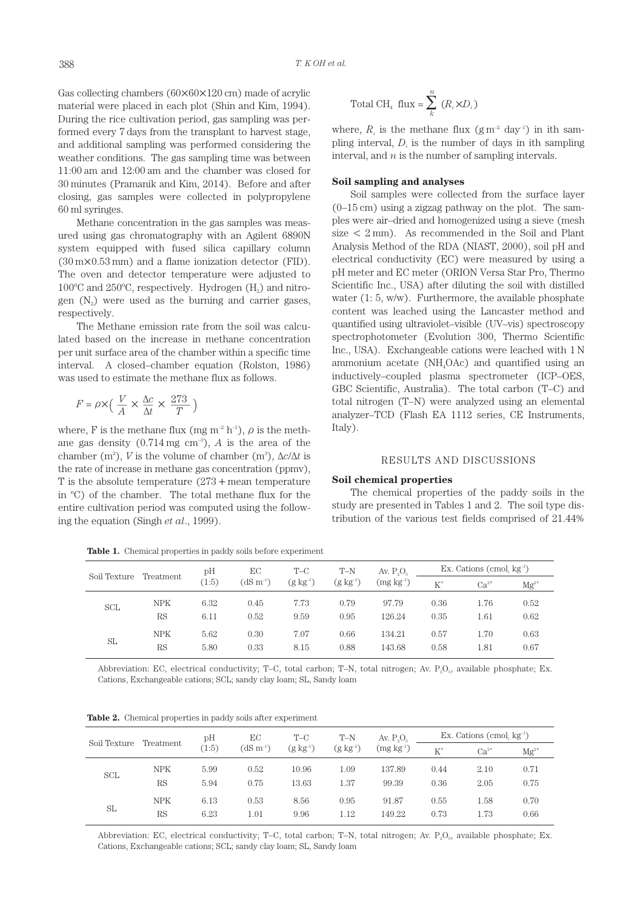Gas collecting chambers (60×60×120 cm) made of acrylic material were placed in each plot (Shin and Kim, 1994). During the rice cultivation period, gas sampling was performed every 7 days from the transplant to harvest stage, and additional sampling was performed considering the weather conditions. The gas sampling time was between 11:00 am and 12:00 am and the chamber was closed for 30 minutes (Pramanik and Kim, 2014). Before and after closing, gas samples were collected in polypropylene 60 ml syringes.

Methane concentration in the gas samples was measured using gas chromatography with an Agilent 6890N system equipped with fused silica capillary column (30 m×0.53 mm) and a flame ionization detector (FID). The oven and detector temperature were adjusted to  $100^{\circ}$ C and  $250^{\circ}$ C, respectively. Hydrogen (H<sub>2</sub>) and nitrogen  $(N<sub>2</sub>)$  were used as the burning and carrier gases, respectively.

The Methane emission rate from the soil was calculated based on the increase in methane concentration per unit surface area of the chamber within a specific time interval. A closed–chamber equation (Rolston, 1986) was used to estimate the methane flux as follows.

$$
F = \rho \times \left( \frac{V}{A} \times \frac{\Delta c}{\Delta t} \times \frac{273}{T} \right)
$$

where, F is the methane flux (mg m<sup>-2</sup> h<sup>-1</sup>),  $\rho$  is the methane gas density  $(0.714 \text{ mg cm}^{-3})$ , *A* is the area of the chamber (m<sup>2</sup>), *V* is the volume of chamber (m<sup>3</sup>),  $\Delta c/\Delta t$  is the rate of increase in methane gas concentration (ppmv), T is the absolute temperature  $(273 + \text{mean temperature})$ in ºC) of the chamber. The total methane flux for the entire cultivation period was computed using the following the equation (Singh *et al*., 1999).

**Table 1.** Chemical properties in paddy soils before experiment

|  | Total CH <sub>4</sub> flux = $\sum (R_i \times D_i)$ |  |
|--|------------------------------------------------------|--|
|--|------------------------------------------------------|--|

where,  $R_i$  is the methane flux  $(g m^{-2} day^{-1})$  in ith sampling interval,  $D_i$  is the number of days in ith sampling interval, and *n* is the number of sampling intervals.

## **Soil sampling and analyses**

Soil samples were collected from the surface layer  $(0-15 \text{ cm})$  using a zigzag pathway on the plot. The samples were air–dried and homogenized using a sieve (mesh size  $\lt 2$  mm). As recommended in the Soil and Plant Analysis Method of the RDA (NIAST, 2000), soil pH and electrical conductivity (EC) were measured by using a pH meter and EC meter (ORION Versa Star Pro, Thermo Scientific Inc., USA) after diluting the soil with distilled water (1: 5, w/w). Furthermore, the available phosphate content was leached using the Lancaster method and quantified using ultraviolet–visible (UV–vis) spectroscopy spectrophotometer (Evolution 300, Thermo Scientific Inc., USA). Exchangeable cations were leached with 1 N ammonium acetate (NH4OAc) and quantified using an inductively–coupled plasma spectrometer (ICP–OES, GBC Scientific, Australia). The total carbon (T–C) and total nitrogen (T–N) were analyzed using an elemental analyzer–TCD (Flash EA 1112 series, CE Instruments, Italy).

## RESULTS AND DISCUSSIONS

#### **Soil chemical properties**

The chemical properties of the paddy soils in the study are presented in Tables 1 and 2. The soil type distribution of the various test fields comprised of 21.44%

| Soil Texture | Treatment  | pН    | EС<br>$(dS m^{-1})$ | $T-C$<br>$(g \ kg^{-1})$ | $T-N$<br>$(g \; kg^{-1})$ | Av. $P_0O_{\kappa}$<br>$(mg kg-1)$ | Ex. Cations (cmol, $kg^{-1}$ ) |           |           |
|--------------|------------|-------|---------------------|--------------------------|---------------------------|------------------------------------|--------------------------------|-----------|-----------|
|              |            | (1:5) |                     |                          |                           |                                    | $K^+$                          | $Ca^{2+}$ | $Mg^{2+}$ |
| SCL          | <b>NPK</b> | 6.32  | 0.45                | 7.73                     | 0.79                      | 97.79                              | 0.36                           | 1.76      | 0.52      |
|              | <b>RS</b>  | 6.11  | 0.52                | 9.59                     | 0.95                      | 126.24                             | 0.35                           | 1.61      | 0.62      |
| SL           | <b>NPK</b> | 5.62  | 0.30                | 7.07                     | 0.66                      | 134.21                             | 0.57                           | 1.70      | 0.63      |
|              | <b>RS</b>  | 5.80  | 0.33                | 8.15                     | 0.88                      | 143.68                             | 0.58                           | 1.81      | 0.67      |

Abbreviation: EC, electrical conductivity; T–C, total carbon; T–N, total nitrogen; Av.  $P_2O_5$ , available phosphate; Ex. Cations, Exchangeable cations; SCL; sandy clay loam; SL, Sandy loam

|  |  |  |  |  |  |  | <b>Table 2.</b> Chemical properties in paddy soils after experiment |
|--|--|--|--|--|--|--|---------------------------------------------------------------------|
|--|--|--|--|--|--|--|---------------------------------------------------------------------|

| Soil Texture | Treatment        | pH           | EС            | $T-C$<br>$(g kg^{-1})$ | $T-N$<br>$(g kg-1)$ | Av. $P_0O_5$<br>$(mg kg-1)$ | Ex. Cations (cmol $kg^{-1}$ ) |              |              |
|--------------|------------------|--------------|---------------|------------------------|---------------------|-----------------------------|-------------------------------|--------------|--------------|
|              |                  | (1:5)        | $(dS m^{-1})$ |                        |                     |                             | $K^+$                         | $Ca^{2+}$    | $Mg^{2+}$    |
| <b>SCL</b>   | <b>NPK</b>       | 5.99         | 0.52          | 10.96                  | 1.09                | 137.89                      | 0.44                          | 2.10         | 0.71         |
|              | RS               | 5.94         | 0.75          | 13.63                  | 1.37                | 99.39                       | 0.36                          | 2.05         | 0.75         |
| SL           | <b>NPK</b><br>RS | 6.13<br>6.23 | 0.53<br>1.01  | 8.56<br>9.96           | 0.95<br>1.12        | 91.87<br>149.22             | 0.55<br>0.73                  | 1.58<br>1.73 | 0.70<br>0.66 |

Abbreviation: EC, electrical conductivity; T–C, total carbon; T–N, total nitrogen; Av.  $P_2O_5$ , available phosphate; Ex. Cations, Exchangeable cations; SCL; sandy clay loam; SL, Sandy loam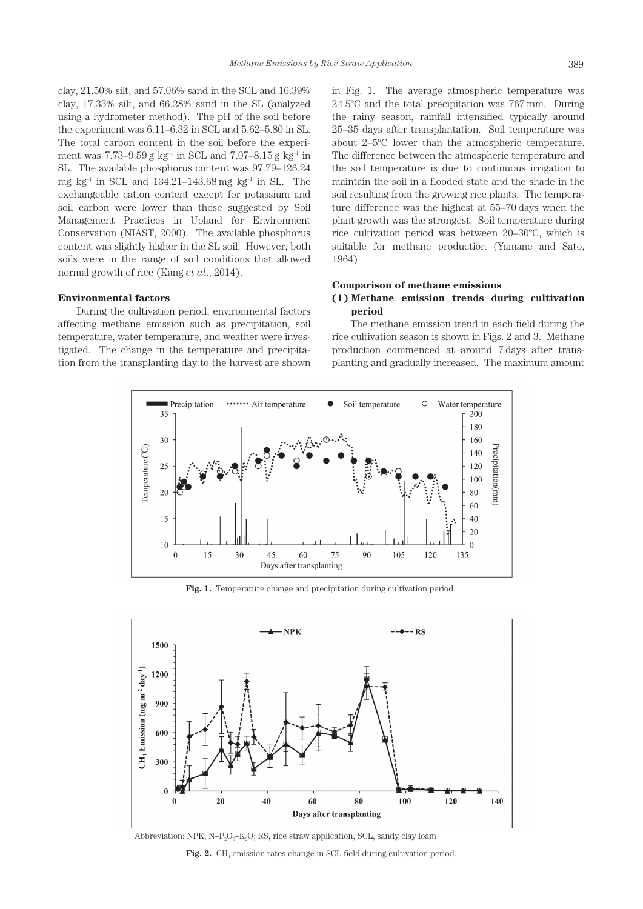clay, 21.50% silt, and 57.06% sand in the SCL and 16.39% clay, 17.33% silt, and 66.28% sand in the SL (analyzed using a hydrometer method). The pH of the soil before the experiment was 6.11–6.32 in SCL and 5.62–5.80 in SL. The total carbon content in the soil before the experiment was 7.73–9.59 g kg<sup>-1</sup> in SCL and 7.07–8.15 g kg<sup>-1</sup> in SL. The available phosphorus content was 97.79–126.24 mg kg<sup>-1</sup> in SCL and  $134.21-143.68$  mg kg<sup>-1</sup> in SL. The exchangeable cation content except for potassium and soil carbon were lower than those suggested by Soil Management Practices in Upland for Environment Conservation (NIAST, 2000). The available phosphorus content was slightly higher in the SL soil. However, both soils were in the range of soil conditions that allowed normal growth of rice (Kang *et al*., 2014).

#### **Environmental factors**

During the cultivation period, environmental factors affecting methane emission such as precipitation, soil temperature, water temperature, and weather were investigated. The change in the temperature and precipitation from the transplanting day to the harvest are shown in Fig. 1. The average atmospheric temperature was 24.5ºC and the total precipitation was 767 mm. During the rainy season, rainfall intensified typically around 25–35 days after transplantation. Soil temperature was about 2–5ºC lower than the atmospheric temperature. The difference between the atmospheric temperature and the soil temperature is due to continuous irrigation to maintain the soil in a flooded state and the shade in the soil resulting from the growing rice plants. The temperature difference was the highest at 55–70 days when the plant growth was the strongest. Soil temperature during rice cultivation period was between 20–30ºC, which is suitable for methane production (Yamane and Sato, 1964).

## **Comparison of methane emissions (1) Methane emission trends during cultivation period**

The methane emission trend in each field during the rice cultivation season is shown in Figs. 2 and 3. Methane production commenced at around 7 days after transplanting and gradually increased. The maximum amount



**Fig. 1.** Temperature change and precipitation during cultivation period.



Abbreviation: NPK, N–P<sub>2</sub>O<sub>5</sub>–K<sub>2</sub>O; RS, rice straw application, SCL, sandy clay loam

Fig. 2. CH<sub>4</sub> emission rates change in SCL field during cultivation period.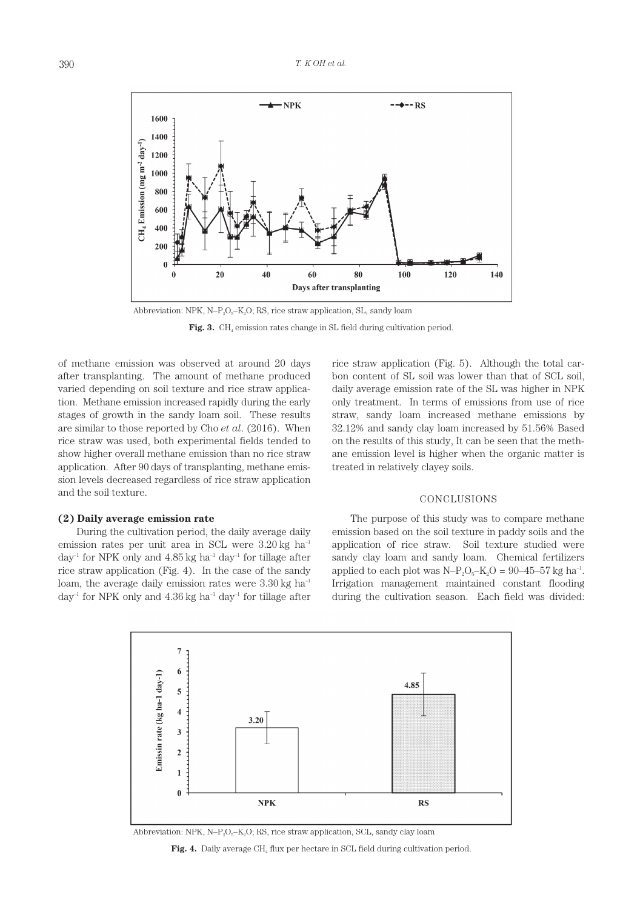

Abbreviation: NPK, N–P<sub>2</sub>O<sub>5</sub>–K<sub>2</sub>O; RS, rice straw application, SL, sandy loam

Fig. 3. CH<sub>4</sub> emission rates change in SL field during cultivation period.

of methane emission was observed at around 20 days after transplanting. The amount of methane produced varied depending on soil texture and rice straw application. Methane emission increased rapidly during the early stages of growth in the sandy loam soil. These results are similar to those reported by Cho *et al*. (2016). When rice straw was used, both experimental fields tended to show higher overall methane emission than no rice straw application. After 90 days of transplanting, methane emission levels decreased regardless of rice straw application and the soil texture.

#### **(2) Daily average emission rate**

During the cultivation period, the daily average daily emission rates per unit area in SCL were 3.20 kg ha<sup>-1</sup> day<sup>-1</sup> for NPK only and  $4.85$  kg ha<sup>-1</sup> day<sup>-1</sup> for tillage after rice straw application (Fig. 4). In the case of the sandy loam, the average daily emission rates were  $3.30 \text{ kg h}$ day<sup>-1</sup> for NPK only and  $4.36$  kg ha<sup>-1</sup> day<sup>-1</sup> for tillage after rice straw application (Fig. 5). Although the total carbon content of SL soil was lower than that of SCL soil, daily average emission rate of the SL was higher in NPK only treatment. In terms of emissions from use of rice straw, sandy loam increased methane emissions by 32.12% and sandy clay loam increased by 51.56% Based on the results of this study, It can be seen that the methane emission level is higher when the organic matter is treated in relatively clayey soils.

#### CONCLUSIONS

The purpose of this study was to compare methane emission based on the soil texture in paddy soils and the application of rice straw. Soil texture studied were sandy clay loam and sandy loam. Chemical fertilizers applied to each plot was  $N-P_2O_5-K_2O = 90-45-57$  kg ha<sup>-1</sup>. Irrigation management maintained constant flooding during the cultivation season. Each field was divided:



Abbreviation: NPK, N–P<sub>2</sub>O<sub>5</sub>–K<sub>2</sub>O; RS, rice straw application, SCL, sandy clay loam

**Fig. 4.** Daily average CH<sub>4</sub> flux per hectare in SCL field during cultivation period.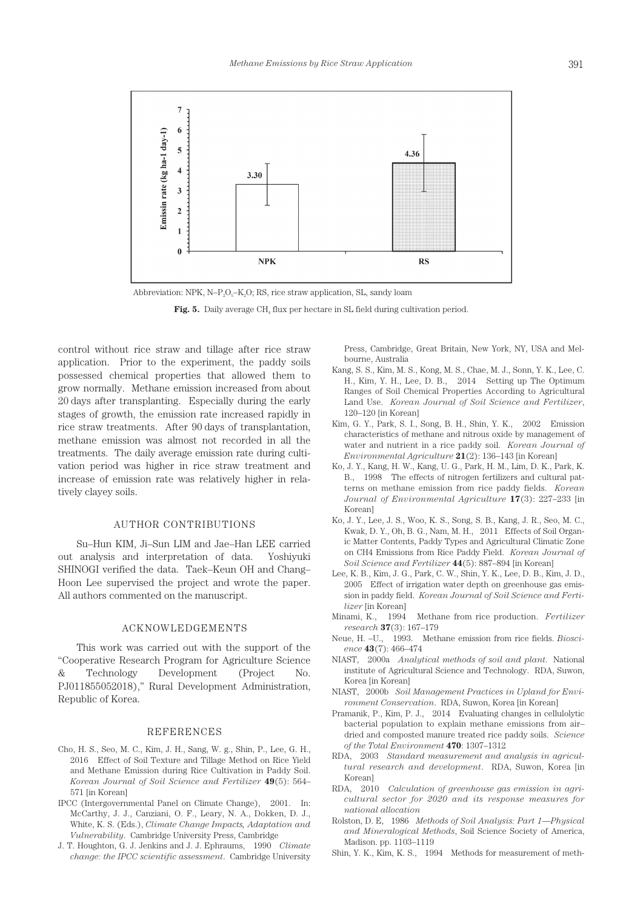

Abbreviation: NPK,  $N-P_2O_5-K_2O$ ; RS, rice straw application, SL, sandy loam



control without rice straw and tillage after rice straw application. Prior to the experiment, the paddy soils possessed chemical properties that allowed them to grow normally. Methane emission increased from about 20 days after transplanting. Especially during the early stages of growth, the emission rate increased rapidly in rice straw treatments. After 90 days of transplantation, methane emission was almost not recorded in all the treatments. The daily average emission rate during cultivation period was higher in rice straw treatment and increase of emission rate was relatively higher in relatively clayey soils.

## AUTHOR CONTRIBUTIONS

Su–Hun KIM, Ji–Sun LIM and Jae–Han LEE carried out analysis and interpretation of data. Yoshiyuki SHINOGI verified the data. Taek–Keun OH and Chang– Hoon Lee supervised the project and wrote the paper. All authors commented on the manuscript.

#### ACKNOWLEDGEMENTS

This work was carried out with the support of the "Cooperative Research Program for Agriculture Science & Technology Development (Project No. PJ011855052018)," Rural Development Administration, Republic of Korea.

#### REFERENCES

- Cho, H. S., Seo, M. C., Kim, J. H., Sang, W. g., Shin, P., Lee, G. H., 2016 Effect of Soil Texture and Tillage Method on Rice Yield and Methane Emission during Rice Cultivation in Paddy Soil. *Korean Journal of Soil Science and Fertilizer* **49**(5): 564– 571 [in Korean]
- IPCC (Intergovernmental Panel on Climate Change), 2001. In: McCarthy, J. J., Canziani, O. F., Leary, N. A., Dokken, D. J., White, K. S. (Eds.), *Climate Change Impacts, Adaptation and Vulnerability*. Cambridge University Press, Cambridge
- J. T. Houghton, G. J. Jenkins and J. J. Ephraums, 1990 *Climate change: the IPCC scientific assessment*. Cambridge University

Press, Cambridge, Great Britain, New York, NY, USA and Melbourne, Australia

- Kang, S. S., Kim, M. S., Kong, M. S., Chae, M. J., Sonn, Y. K., Lee, C. H., Kim, Y. H., Lee, D. B., 2014 Setting up The Optimum Ranges of Soil Chemical Properties According to Agricultural Land Use. *Korean Journal of Soil Science and Fertilizer*, 120–120 [in Korean]
- Kim, G. Y., Park, S. I., Song, B. H., Shin, Y. K., 2002 Emission characteristics of methane and nitrous oxide by management of water and nutrient in a rice paddy soil. *Korean Journal of Environmental Agriculture* **21**(2): 136–143 [in Korean]
- Ko, J. Y., Kang, H. W., Kang, U. G., Park, H. M., Lim, D. K., Park, K. B., 1998 The effects of nitrogen fertilizers and cultural patterns on methane emission from rice paddy fields. *Korean Journal of Environmental Agriculture* **17**(3): 227–233 [in Korean]
- Ko, J. Y., Lee, J. S., Woo, K. S., Song, S. B., Kang, J. R., Seo, M. C., Kwak, D. Y., Oh, B. G., Nam, M. H., 2011 Effects of Soil Organic Matter Contents, Paddy Types and Agricultural Climatic Zone on CH4 Emissions from Rice Paddy Field. *Korean Journal of Soil Science and Fertilizer* **44**(5): 887–894 [in Korean]
- Lee, K. B., Kim, J. G., Park, C. W., Shin, Y. K., Lee, D. B., Kim, J. D., 2005 Effect of irrigation water depth on greenhouse gas emission in paddy field. *Korean Journal of Soil Science and Fertilizer* [in Korean]
- Minami, K., 1994 Methane from rice production. *Fertilizer research* **37**(3): 167–179
- Neue, H. –U., 1993. Methane emission from rice fields. *Bioscience* **43**(7): 466–474
- NIAST, 2000a *Analytical methods of soil and plant*. National institute of Agricultural Science and Technology. RDA, Suwon, Korea [in Korean]
- NIAST, 2000b *Soil Management Practices in Upland for Environment Conservation*. RDA, Suwon, Korea [in Korean]
- Pramanik, P., Kim, P. J., 2014 Evaluating changes in cellulolytic bacterial population to explain methane emissions from air– dried and composted manure treated rice paddy soils. *Science of the Total Environment* **470**: 1307–1312
- RDA, 2003 *Standard measurement and analysis in agricultural research and development*. RDA, Suwon, Korea [in Korean]
- RDA, 2010 *Calculation of greenhouse gas emission in agricultural sector for 2020 and its response measures for national allocation*
- Rolston, D. E, 1986 *Methods of Soil Analysis: Part 1—Physical and Mineralogical Methods*, Soil Science Society of America, Madison. pp. 1103–1119
- Shin, Y. K., Kim, K. S., 1994 Methods for measurement of meth-